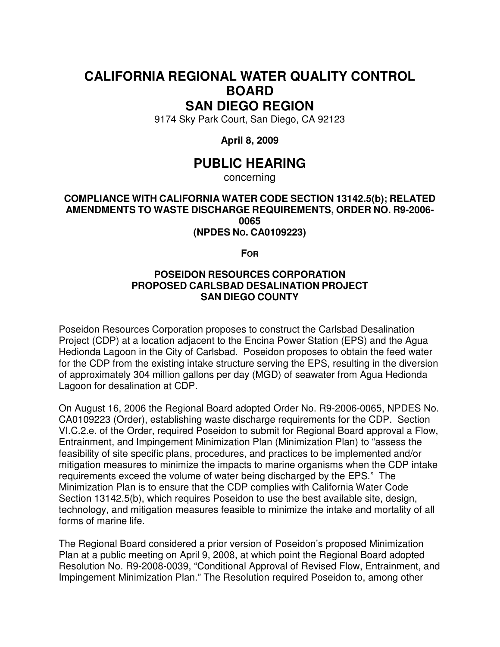## **CALIFORNIA REGIONAL WATER QUALITY CONTROL BOARD SAN DIEGO REGION**

9174 Sky Park Court, San Diego, CA 92123

**April 8, 2009** 

## **PUBLIC HEARING**

concerning

**COMPLIANCE WITH CALIFORNIA WATER CODE SECTION 13142.5(b); RELATED AMENDMENTS TO WASTE DISCHARGE REQUIREMENTS, ORDER NO. R9-2006- 0065 (NPDES NO. CA0109223)** 

**FOR**

## **POSEIDON RESOURCES CORPORATION PROPOSED CARLSBAD DESALINATION PROJECT SAN DIEGO COUNTY**

Poseidon Resources Corporation proposes to construct the Carlsbad Desalination Project (CDP) at a location adjacent to the Encina Power Station (EPS) and the Agua Hedionda Lagoon in the City of Carlsbad. Poseidon proposes to obtain the feed water for the CDP from the existing intake structure serving the EPS, resulting in the diversion of approximately 304 million gallons per day (MGD) of seawater from Agua Hedionda Lagoon for desalination at CDP.

On August 16, 2006 the Regional Board adopted Order No. R9-2006-0065, NPDES No. CA0109223 (Order), establishing waste discharge requirements for the CDP. Section VI.C.2.e. of the Order, required Poseidon to submit for Regional Board approval a Flow, Entrainment, and Impingement Minimization Plan (Minimization Plan) to "assess the feasibility of site specific plans, procedures, and practices to be implemented and/or mitigation measures to minimize the impacts to marine organisms when the CDP intake requirements exceed the volume of water being discharged by the EPS." The Minimization Plan is to ensure that the CDP complies with California Water Code Section 13142.5(b), which requires Poseidon to use the best available site, design, technology, and mitigation measures feasible to minimize the intake and mortality of all forms of marine life.

The Regional Board considered a prior version of Poseidon's proposed Minimization Plan at a public meeting on April 9, 2008, at which point the Regional Board adopted Resolution No. R9-2008-0039, "Conditional Approval of Revised Flow, Entrainment, and Impingement Minimization Plan." The Resolution required Poseidon to, among other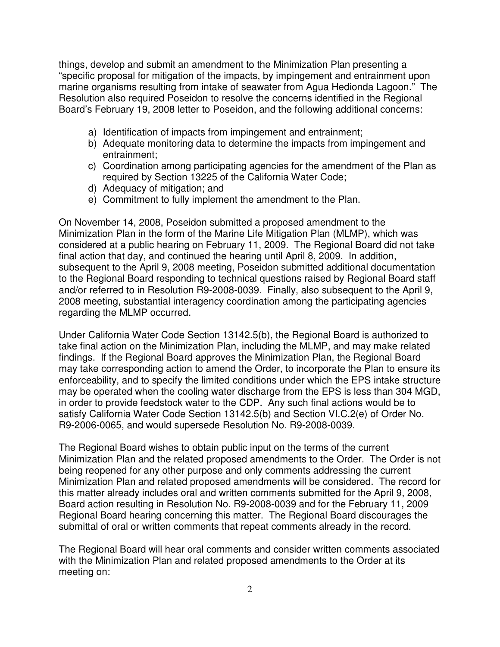things, develop and submit an amendment to the Minimization Plan presenting a "specific proposal for mitigation of the impacts, by impingement and entrainment upon marine organisms resulting from intake of seawater from Agua Hedionda Lagoon." The Resolution also required Poseidon to resolve the concerns identified in the Regional Board's February 19, 2008 letter to Poseidon, and the following additional concerns:

- a) Identification of impacts from impingement and entrainment;
- b) Adequate monitoring data to determine the impacts from impingement and entrainment;
- c) Coordination among participating agencies for the amendment of the Plan as required by Section 13225 of the California Water Code;
- d) Adequacy of mitigation; and
- e) Commitment to fully implement the amendment to the Plan.

On November 14, 2008, Poseidon submitted a proposed amendment to the Minimization Plan in the form of the Marine Life Mitigation Plan (MLMP), which was considered at a public hearing on February 11, 2009. The Regional Board did not take final action that day, and continued the hearing until April 8, 2009. In addition, subsequent to the April 9, 2008 meeting, Poseidon submitted additional documentation to the Regional Board responding to technical questions raised by Regional Board staff and/or referred to in Resolution R9-2008-0039. Finally, also subsequent to the April 9, 2008 meeting, substantial interagency coordination among the participating agencies regarding the MLMP occurred.

Under California Water Code Section 13142.5(b), the Regional Board is authorized to take final action on the Minimization Plan, including the MLMP, and may make related findings. If the Regional Board approves the Minimization Plan, the Regional Board may take corresponding action to amend the Order, to incorporate the Plan to ensure its enforceability, and to specify the limited conditions under which the EPS intake structure may be operated when the cooling water discharge from the EPS is less than 304 MGD, in order to provide feedstock water to the CDP. Any such final actions would be to satisfy California Water Code Section 13142.5(b) and Section VI.C.2(e) of Order No. R9-2006-0065, and would supersede Resolution No. R9-2008-0039.

The Regional Board wishes to obtain public input on the terms of the current Minimization Plan and the related proposed amendments to the Order. The Order is not being reopened for any other purpose and only comments addressing the current Minimization Plan and related proposed amendments will be considered. The record for this matter already includes oral and written comments submitted for the April 9, 2008, Board action resulting in Resolution No. R9-2008-0039 and for the February 11, 2009 Regional Board hearing concerning this matter. The Regional Board discourages the submittal of oral or written comments that repeat comments already in the record.

The Regional Board will hear oral comments and consider written comments associated with the Minimization Plan and related proposed amendments to the Order at its meeting on: